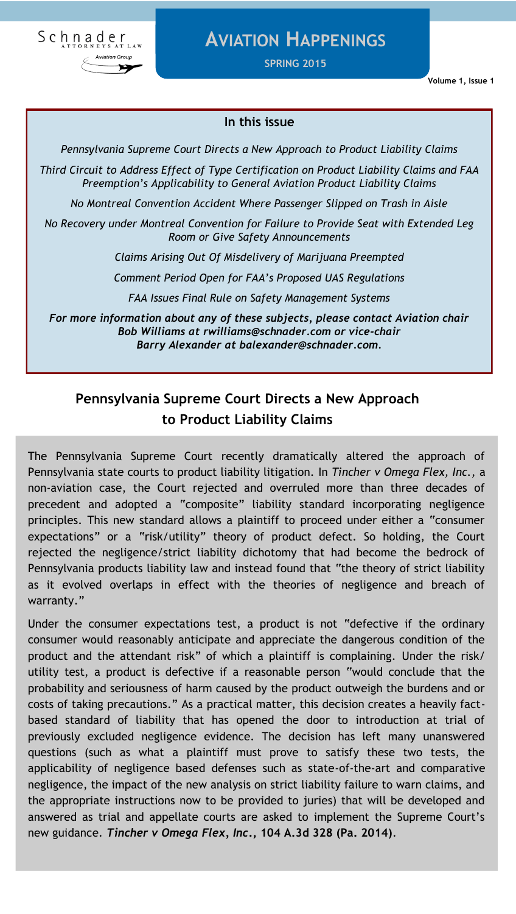

# **AVIATION HAPPENINGS**

**SPRING 2015**

#### **In this issue**

*Pennsylvania Supreme Court Directs a New Approach to Product Liability Claims*

*Third Circuit to Address Effect of Type Certification on Product Liability Claims and FAA Preemption's Applicability to General Aviation Product Liability Claims* 

*No Montreal Convention Accident Where Passenger Slipped on Trash in Aisle*

*No Recovery under Montreal Convention for Failure to Provide Seat with Extended Leg Room or Give Safety Announcements*

*Claims Arising Out Of Misdelivery of Marijuana Preempted*

*Comment Period Open for FAA's Proposed UAS Regulations*

*FAA Issues Final Rule on Safety Management Systems*

*For more information about any of these subjects, please contact Aviation chair Bob Williams at rwilliams@schnader.com or vice-chair Barry Alexander at balexander@schnader.com.* 

## **Pennsylvania Supreme Court Directs a New Approach to Product Liability Claims**

The Pennsylvania Supreme Court recently dramatically altered the approach of Pennsylvania state courts to product liability litigation. In *Tincher v Omega Flex, Inc.,* a non-aviation case, the Court rejected and overruled more than three decades of precedent and adopted a "composite" liability standard incorporating negligence principles. This new standard allows a plaintiff to proceed under either a "consumer expectations" or a "risk/utility" theory of product defect. So holding, the Court rejected the negligence/strict liability dichotomy that had become the bedrock of Pennsylvania products liability law and instead found that "the theory of strict liability as it evolved overlaps in effect with the theories of negligence and breach of warranty."

Under the consumer expectations test, a product is not "defective if the ordinary consumer would reasonably anticipate and appreciate the dangerous condition of the product and the attendant risk" of which a plaintiff is complaining. Under the risk/ utility test, a product is defective if a reasonable person "would conclude that the probability and seriousness of harm caused by the product outweigh the burdens and or costs of taking precautions." As a practical matter, this decision creates a heavily factbased standard of liability that has opened the door to introduction at trial of previously excluded negligence evidence. The decision has left many unanswered questions (such as what a plaintiff must prove to satisfy these two tests, the applicability of negligence based defenses such as state-of-the-art and comparative negligence, the impact of the new analysis on strict liability failure to warn claims, and the appropriate instructions now to be provided to juries) that will be developed and answered as trial and appellate courts are asked to implement the Supreme Court's new guidance. *Tincher v Omega Flex, Inc***., 104 A.3d 328 (Pa. 2014)**.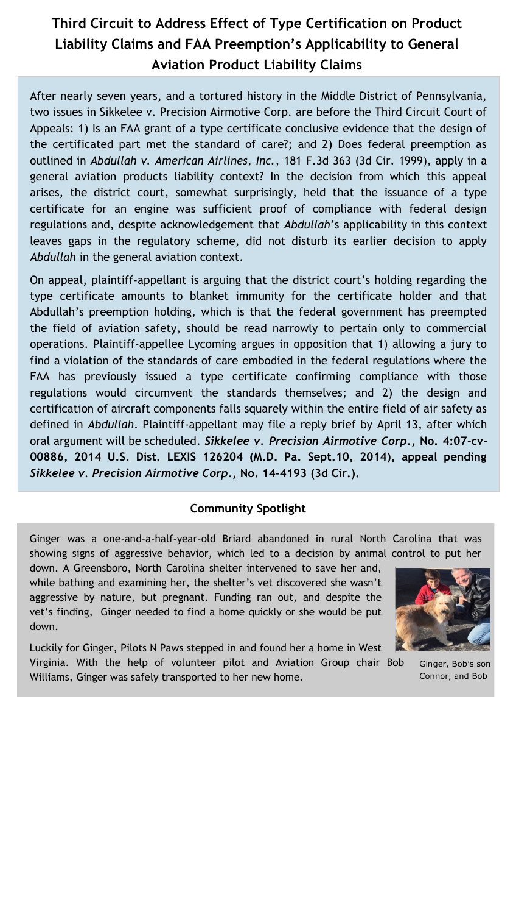# **Third Circuit to Address Effect of Type Certification on Product Liability Claims and FAA Preemption's Applicability to General Aviation Product Liability Claims**

After nearly seven years, and a tortured history in the Middle District of Pennsylvania, two issues in Sikkelee v. Precision Airmotive Corp. are before the Third Circuit Court of Appeals: 1) Is an FAA grant of a type certificate conclusive evidence that the design of the certificated part met the standard of care?; and 2) Does federal preemption as outlined in *Abdullah v. American Airlines, Inc.*, 181 F.3d 363 (3d Cir. 1999), apply in a general aviation products liability context? In the decision from which this appeal arises, the district court, somewhat surprisingly, held that the issuance of a type certificate for an engine was sufficient proof of compliance with federal design regulations and, despite acknowledgement that *Abdullah*'s applicability in this context leaves gaps in the regulatory scheme, did not disturb its earlier decision to apply *Abdullah* in the general aviation context.

On appeal, plaintiff-appellant is arguing that the district court's holding regarding the type certificate amounts to blanket immunity for the certificate holder and that Abdullah's preemption holding, which is that the federal government has preempted the field of aviation safety, should be read narrowly to pertain only to commercial operations. Plaintiff-appellee Lycoming argues in opposition that 1) allowing a jury to find a violation of the standards of care embodied in the federal regulations where the FAA has previously issued a type certificate confirming compliance with those regulations would circumvent the standards themselves; and 2) the design and certification of aircraft components falls squarely within the entire field of air safety as defined in *Abdullah*. Plaintiff-appellant may file a reply brief by April 13, after which oral argument will be scheduled. *Sikkelee v. Precision Airmotive Corp.***, No. 4:07-cv-00886, 2014 U.S. Dist. LEXIS 126204 (M.D. Pa. Sept.10, 2014), appeal pending**  *Sikkelee v. Precision Airmotive Corp.***, No. 14-4193 (3d Cir.).**

#### **Community Spotlight**

Ginger was a one-and-a-half-year-old Briard abandoned in rural North Carolina that was showing signs of aggressive behavior, which led to a decision by animal control to put her

down. A Greensboro, North Carolina shelter intervened to save her and, while bathing and examining her, the shelter's vet discovered she wasn't aggressive by nature, but pregnant. Funding ran out, and despite the vet's finding, Ginger needed to find a home quickly or she would be put down.





Ginger, Bob's son Connor, and Bob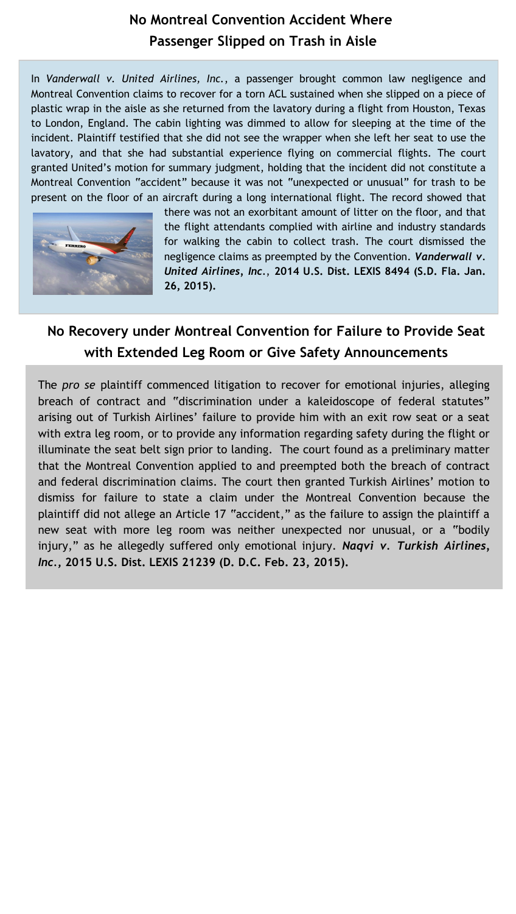## **No Montreal Convention Accident Where Passenger Slipped on Trash in Aisle**

In *Vanderwall v. United Airlines, Inc.*, a passenger brought common law negligence and Montreal Convention claims to recover for a torn ACL sustained when she slipped on a piece of plastic wrap in the aisle as she returned from the lavatory during a flight from Houston, Texas to London, England. The cabin lighting was dimmed to allow for sleeping at the time of the incident. Plaintiff testified that she did not see the wrapper when she left her seat to use the lavatory, and that she had substantial experience flying on commercial flights. The court granted United's motion for summary judgment, holding that the incident did not constitute a Montreal Convention "accident" because it was not "unexpected or unusual" for trash to be present on the floor of an aircraft during a long international flight. The record showed that



there was not an exorbitant amount of litter on the floor, and that the flight attendants complied with airline and industry standards for walking the cabin to collect trash. The court dismissed the negligence claims as preempted by the Convention. *Vanderwall v. United Airlines, Inc.*, **2014 U.S. Dist. LEXIS 8494 (S.D. Fla. Jan. 26, 2015).**

## **No Recovery under Montreal Convention for Failure to Provide Seat with Extended Leg Room or Give Safety Announcements**

The *pro se* plaintiff commenced litigation to recover for emotional injuries, alleging breach of contract and "discrimination under a kaleidoscope of federal statutes" arising out of Turkish Airlines' failure to provide him with an exit row seat or a seat with extra leg room, or to provide any information regarding safety during the flight or illuminate the seat belt sign prior to landing. The court found as a preliminary matter that the Montreal Convention applied to and preempted both the breach of contract and federal discrimination claims. The court then granted Turkish Airlines' motion to dismiss for failure to state a claim under the Montreal Convention because the plaintiff did not allege an Article 17 "accident," as the failure to assign the plaintiff a new seat with more leg room was neither unexpected nor unusual, or a "bodily injury," as he allegedly suffered only emotional injury. *Naqvi v. Turkish Airlines, Inc.***, 2015 U.S. Dist. LEXIS 21239 (D. D.C. Feb. 23, 2015).**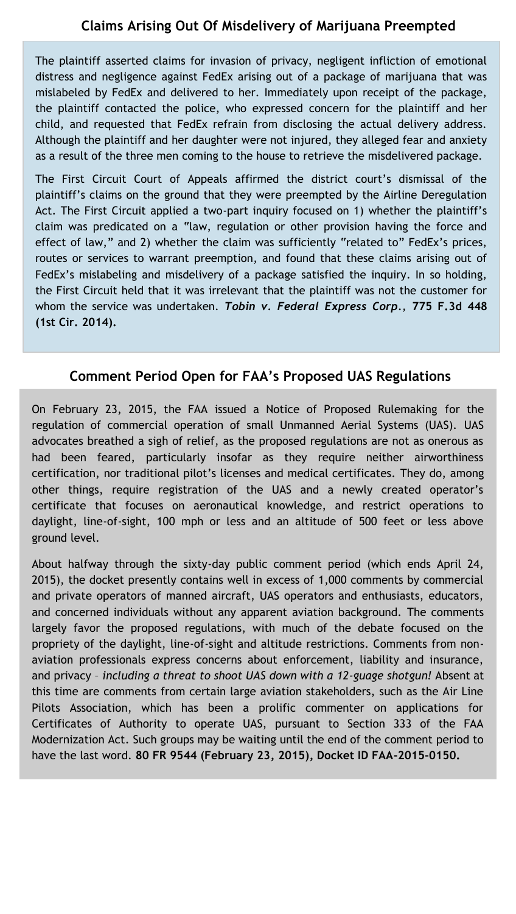#### **Claims Arising Out Of Misdelivery of Marijuana Preempted**

The plaintiff asserted claims for invasion of privacy, negligent infliction of emotional distress and negligence against FedEx arising out of a package of marijuana that was mislabeled by FedEx and delivered to her. Immediately upon receipt of the package, the plaintiff contacted the police, who expressed concern for the plaintiff and her child, and requested that FedEx refrain from disclosing the actual delivery address. Although the plaintiff and her daughter were not injured, they alleged fear and anxiety as a result of the three men coming to the house to retrieve the misdelivered package.

The First Circuit Court of Appeals affirmed the district court's dismissal of the plaintiff's claims on the ground that they were preempted by the Airline Deregulation Act. The First Circuit applied a two-part inquiry focused on 1) whether the plaintiff's claim was predicated on a "law, regulation or other provision having the force and effect of law," and 2) whether the claim was sufficiently "related to" FedEx's prices, routes or services to warrant preemption, and found that these claims arising out of FedEx's mislabeling and misdelivery of a package satisfied the inquiry. In so holding, the First Circuit held that it was irrelevant that the plaintiff was not the customer for whom the service was undertaken. *Tobin v. Federal Express Corp.,* **775 F.3d 448 (1st Cir. 2014).** 

#### **Comment Period Open for FAA's Proposed UAS Regulations**

On February 23, 2015, the FAA issued a Notice of Proposed Rulemaking for the regulation of commercial operation of small Unmanned Aerial Systems (UAS). UAS advocates breathed a sigh of relief, as the proposed regulations are not as onerous as had been feared, particularly insofar as they require neither airworthiness certification, nor traditional pilot's licenses and medical certificates. They do, among other things, require registration of the UAS and a newly created operator's certificate that focuses on aeronautical knowledge, and restrict operations to daylight, line-of-sight, 100 mph or less and an altitude of 500 feet or less above ground level.

About halfway through the sixty-day public comment period (which ends April 24, 2015), the docket presently contains well in excess of 1,000 comments by commercial and private operators of manned aircraft, UAS operators and enthusiasts, educators, and concerned individuals without any apparent aviation background. The comments largely favor the proposed regulations, with much of the debate focused on the propriety of the daylight, line-of-sight and altitude restrictions. Comments from nonaviation professionals express concerns about enforcement, liability and insurance, and privacy – *including a threat to shoot UAS down with a 12-guage shotgun!* Absent at this time are comments from certain large aviation stakeholders, such as the Air Line Pilots Association, which has been a prolific commenter on applications for Certificates of Authority to operate UAS, pursuant to Section 333 of the FAA Modernization Act. Such groups may be waiting until the end of the comment period to have the last word. **80 FR 9544 (February 23, 2015), Docket ID FAA-2015-0150.**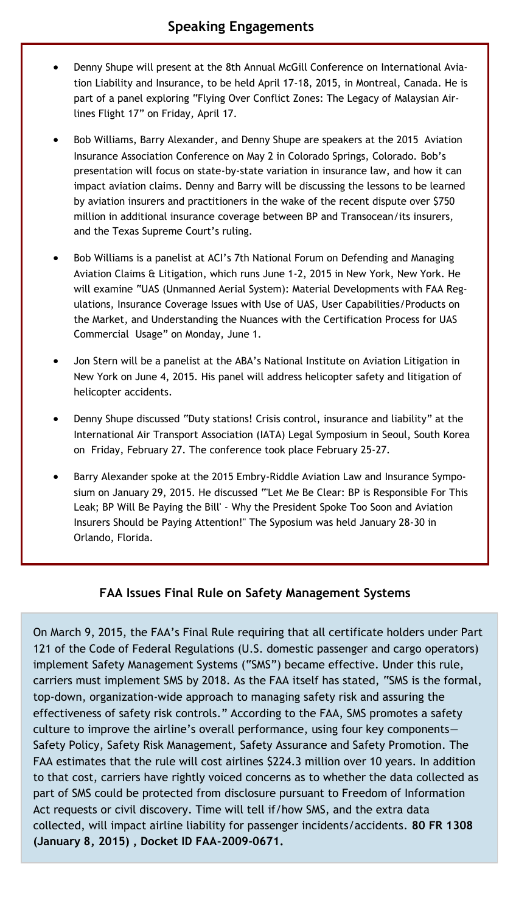- Denny Shupe will present at the 8th Annual McGill Conference on International Aviation Liability and Insurance, to be held April 17-18, 2015, in Montreal, Canada. He is part of a panel exploring "Flying Over Conflict Zones: The Legacy of Malaysian Airlines Flight 17" on Friday, April 17.
- Bob Williams, Barry Alexander, and Denny Shupe are speakers at the 2015 Aviation Insurance Association Conference on May 2 in Colorado Springs, Colorado. Bob's presentation will focus on state-by-state variation in insurance law, and how it can impact aviation claims. Denny and Barry will be discussing the lessons to be learned by aviation insurers and practitioners in the wake of the recent dispute over \$750 million in additional insurance coverage between BP and Transocean/its insurers, and the Texas Supreme Court's ruling.
- Bob Williams is a panelist at ACI's 7th National Forum on Defending and Managing Aviation Claims & Litigation, which runs June 1-2, 2015 in New York, New York. He will examine "UAS (Unmanned Aerial System): Material Developments with FAA Regulations, Insurance Coverage Issues with Use of UAS, User Capabilities/Products on the Market, and Understanding the Nuances with the Certification Process for UAS Commercial Usage" on Monday, June 1.
- Jon Stern will be a panelist at the ABA's National Institute on Aviation Litigation in New York on June 4, 2015. His panel will address helicopter safety and litigation of helicopter accidents.
- Denny Shupe discussed "Duty stations! Crisis control, insurance and liability" at the International Air Transport Association (IATA) Legal Symposium in Seoul, South Korea on Friday, February 27. The conference took place February 25-27.
- Barry Alexander spoke at the 2015 Embry-Riddle Aviation Law and Insurance Symposium on January 29, 2015. He discussed "'Let Me Be Clear: BP is Responsible For This Leak; BP Will Be Paying the Bill' - Why the President Spoke Too Soon and Aviation Insurers Should be Paying Attention!" The Syposium was held January 28-30 in Orlando, Florida.

#### **FAA Issues Final Rule on Safety Management Systems**

On March 9, 2015, the FAA's Final Rule requiring that all certificate holders under Part 121 of the Code of Federal Regulations (U.S. domestic passenger and cargo operators) implement Safety Management Systems ("SMS") became effective. Under this rule, carriers must implement SMS by 2018. As the FAA itself has stated, "SMS is the formal, top-down, organization-wide approach to managing safety risk and assuring the effectiveness of safety risk controls." According to the FAA, SMS promotes a safety culture to improve the airline's overall performance, using four key components— Safety Policy, Safety Risk Management, Safety Assurance and Safety Promotion. The FAA estimates that the rule will cost airlines \$224.3 million over 10 years. In addition to that cost, carriers have rightly voiced concerns as to whether the data collected as part of SMS could be protected from disclosure pursuant to Freedom of Information Act requests or civil discovery. Time will tell if/how SMS, and the extra data collected, will impact airline liability for passenger incidents/accidents. **80 FR 1308 (January 8, 2015) , Docket ID FAA-2009-0671.**